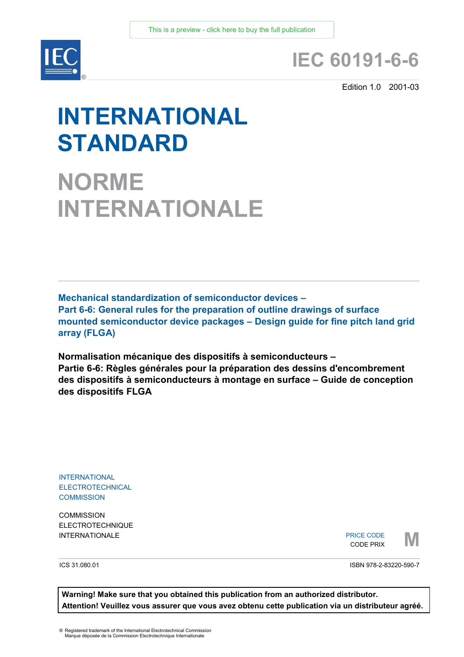

## **IEC 60191-6-6**

Edition 1.0 2001-03

# **INTERNATIONAL STANDARD**

**NORME INTERNATIONALE**

**Mechanical standardization of semiconductor devices – Part 6-6: General rules for the preparation of outline drawings of surface mounted semiconductor device packages – Design guide for fine pitch land grid array (FLGA)** 

**Normalisation mécanique des dispositifs à semiconducteurs – Partie 6-6: Règles générales pour la préparation des dessins d'encombrement des dispositifs à semiconducteurs à montage en surface – Guide de conception des dispositifs FLGA**

INTERNATIONAL ELECTROTECHNICAL **COMMISSION** 

**COMMISSION** ELECTROTECHNIQUE

INTERNATIONALE PRICE CODE PRIX PRICE CODE CODE PRIX



ICS 31.080.01

ISBN 978-2-83220-590-7

**Warning! Make sure that you obtained this publication from an authorized distributor. Attention! Veuillez vous assurer que vous avez obtenu cette publication via un distributeur agréé.**

® Registered trademark of the International Electrotechnical Commission Marque déposée de la Commission Electrotechnique Internationale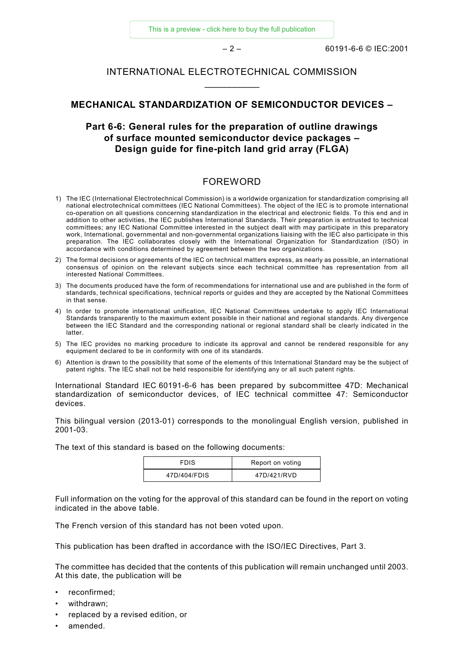#### INTERNATIONAL ELECTROTECHNICAL COMMISSION  $\overline{\phantom{a}}$

#### **MECHANICAL STANDARDIZATION OF SEMICONDUCTOR DEVICES –**

#### **Part 6-6: General rules for the preparation of outline drawings of surface mounted semiconductor device packages – Design guide for fine-pitch land grid array (FLGA)**

#### FOREWORD

- 1) The IEC (International Electrotechnical Commission) is a worldwide organization for standardization comprising all national electrotechnical committees (IEC National Committees). The object of the IEC is to promote international co-operation on all questions concerning standardization in the electrical and electronic fields. To this end and in addition to other activities, the IEC publishes International Standards. Their preparation is entrusted to technical committees; any IEC National Committee interested in the subject dealt with may participate in this preparatory work, International, governmental and non-governmental organizations liaising with the IEC also participate in this preparation. The IEC collaborates closely with the International Organization for Standardization (ISO) in accordance with conditions determined by agreement between the two organizations.
- 2) The formal decisions or agreements of the IEC on technical matters express, as nearly as possible, an international consensus of opinion on the relevant subjects since each technical committee has representation from all interested National Committees.
- 3) The documents produced have the form of recommendations for international use and are published in the form of standards, technical specifications, technical reports or guides and they are accepted by the National Committees in that sense.
- 4) In order to promote international unification, IEC National Committees undertake to apply IEC International Standards transparently to the maximum extent possible in their national and regional standards. Any divergence between the IEC Standard and the corresponding national or regional standard shall be clearly indicated in the latter.
- 5) The IEC provides no marking procedure to indicate its approval and cannot be rendered responsible for any equipment declared to be in conformity with one of its standards.
- 6) Attention is drawn to the possibility that some of the elements of this International Standard may be the subject of patent rights. The IEC shall not be held responsible for identifying any or all such patent rights.

International Standard IEC 60191-6-6 has been prepared by subcommittee 47D: Mechanical standardization of semiconductor devices, of IEC technical committee 47: Semiconductor devices.

This bilingual version (2013-01) corresponds to the monolingual English version, published in 2001-03.

The text of this standard is based on the following documents:

| <b>FDIS</b>  | Report on voting |
|--------------|------------------|
| 47D/404/FDIS | 47D/421/RVD      |

Full information on the voting for the approval of this standard can be found in the report on voting indicated in the above table.

The French version of this standard has not been voted upon.

This publication has been drafted in accordance with the ISO/IEC Directives, Part 3.

The committee has decided that the contents of this publication will remain unchanged until 2003. At this date, the publication will be

- reconfirmed;
- withdrawn:
- replaced by a revised edition, or
- amended.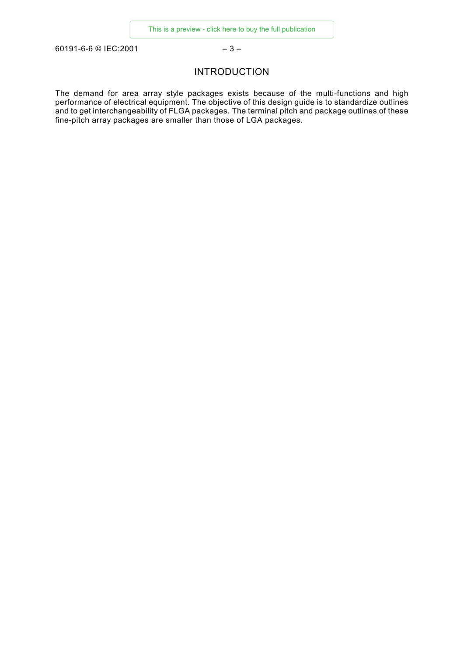$60191-6-6$  © IEC:2001 – 3 –

#### INTRODUCTION

The demand for area array style packages exists because of the multi-functions and high performance of electrical equipment. The objective of this design guide is to standardize outlines and to get interchangeability of FLGA packages. The terminal pitch and package outlines of these fine-pitch array packages are smaller than those of LGA packages.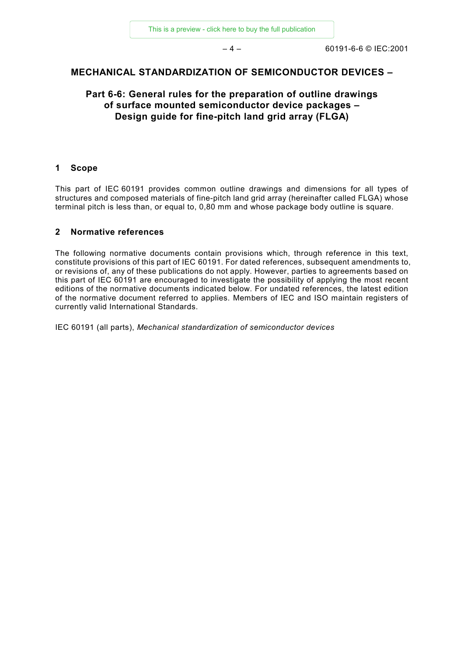#### **MECHANICAL STANDARDIZATION OF SEMICONDUCTOR DEVICES –**

### **Part 6-6: General rules for the preparation of outline drawings of surface mounted semiconductor device packages – Design guide for fine-pitch land grid array (FLGA)**

#### **1 Scope**

This part of IEC 60191 provides common outline drawings and dimensions for all types of structures and composed materials of fine-pitch land grid array (hereinafter called FLGA) whose terminal pitch is less than, or equal to, 0,80 mm and whose package body outline is square.

#### **2 Normative references**

The following normative documents contain provisions which, through reference in this text, constitute provisions of this part of IEC 60191. For dated references, subsequent amendments to, or revisions of, any of these publications do not apply. However, parties to agreements based on this part of IEC 60191 are encouraged to investigate the possibility of applying the most recent editions of the normative documents indicated below. For undated references, the latest edition of the normative document referred to applies. Members of IEC and ISO maintain registers of currently valid International Standards.

IEC 60191 (all parts), *Mechanical standardization of semiconductor devices*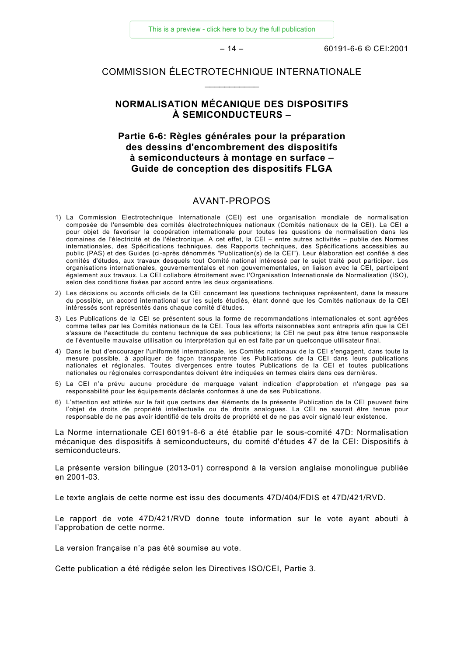[This is a preview - click here to buy the full publication](https://webstore.iec.ch/publication/1010&preview=1)

 $-14 - 60191 - 600191 - 600191 - 600191 - 6000191 - 6000100$ 

#### COMMISSION ÉLECTROTECHNIQUE INTERNATIONALE \_\_\_\_\_\_\_\_\_\_\_

#### **NORMALISATION MÉCANIQUE DES DISPOSITIFS À SEMICONDUCTEURS –**

#### **Partie 6-6: Règles générales pour la préparation des dessins d'encombrement des dispositifs à semiconducteurs à montage en surface – Guide de conception des dispositifs FLGA**

#### AVANT-PROPOS

- 1) La Commission Electrotechnique Internationale (CEI) est une organisation mondiale de normalisation composée de l'ensemble des comités électrotechniques nationaux (Comités nationaux de la CEI). La CEI a pour objet de favoriser la coopération internationale pour toutes les questions de normalisation dans les domaines de l'électricité et de l'électronique. A cet effet, la CEI – entre autres activités – publie des Normes internationales, des Spécifications techniques, des Rapports techniques, des Spécifications accessibles au public (PAS) et des Guides (ci-après dénommés "Publication(s) de la CEI"). Leur élaboration est confiée à des comités d'études, aux travaux desquels tout Comité national intéressé par le sujet traité peut participer. Les organisations internationales, gouvernementales et non gouvernementales, en liaison avec la CEI, participent également aux travaux. La CEI collabore étroitement avec l'Organisation Internationale de Normalisation (ISO), selon des conditions fixées par accord entre les deux organisations.
- 2) Les décisions ou accords officiels de la CEI concernant les questions techniques représentent, dans la mesure du possible, un accord international sur les sujets étudiés, étant donné que les Comités nationaux de la CEI intéressés sont représentés dans chaque comité d'études.
- 3) Les Publications de la CEI se présentent sous la forme de recommandations internationales et sont agréées comme telles par les Comités nationaux de la CEI. Tous les efforts raisonnables sont entrepris afin que la CEI s'assure de l'exactitude du contenu technique de ses publications; la CEI ne peut pas être tenue responsable de l'éventuelle mauvaise utilisation ou interprétation qui en est faite par un quelconque utilisateur final.
- 4) Dans le but d'encourager l'uniformité internationale, les Comités nationaux de la CEI s'engagent, dans toute la mesure possible, à appliquer de façon transparente les Publications de la CEI dans leurs publications nationales et régionales. Toutes divergences entre toutes Publications de la CEI et toutes publications nationales ou régionales correspondantes doivent être indiquées en termes clairs dans ces dernières.
- 5) La CEI n'a prévu aucune procédure de marquage valant indication d'approbation et n'engage pas sa responsabilité pour les équipements déclarés conformes à une de ses Publications.
- 6) L'attention est attirée sur le fait que certains des éléments de la présente Publication de la CEI peuvent faire l'objet de droits de propriété intellectuelle ou de droits analogues. La CEI ne saurait être tenue pour responsable de ne pas avoir identifié de tels droits de propriété et de ne pas avoir signalé leur existence.

La Norme internationale CEI 60191-6-6 a été établie par le sous-comité 47D: Normalisation mécanique des dispositifs à semiconducteurs, du comité d'études 47 de la CEI: Dispositifs à semiconducteurs.

La présente version bilingue (2013-01) correspond à la version anglaise monolingue publiée en 2001-03.

Le texte anglais de cette norme est issu des documents 47D/404/FDIS et 47D/421/RVD.

Le rapport de vote 47D/421/RVD donne toute information sur le vote ayant abouti à l'approbation de cette norme.

La version française n'a pas été soumise au vote.

Cette publication a été rédigée selon les Directives ISO/CEI, Partie 3.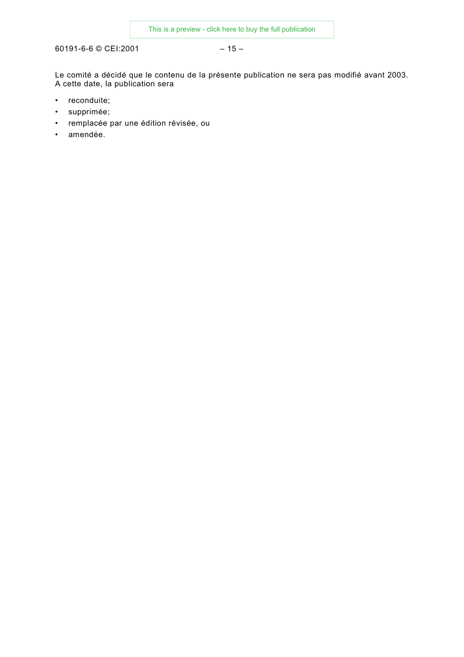60191-6-6 © CEI:2001 - 15 -

Le comité a décidé que le contenu de la présente publication ne sera pas modifié avant 2003. A cette date, la publication sera

- reconduite;
- supprimée;
- remplacée par une édition révisée, ou
- amendée.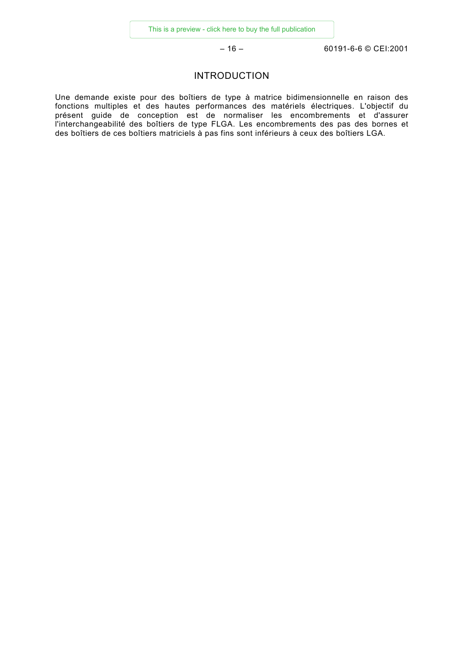– 16 – 60191-6-6 © CEI:2001

#### INTRODUCTION

Une demande existe pour des boîtiers de type à matrice bidimensionnelle en raison des fonctions multiples et des hautes performances des matériels électriques. L'objectif du présent guide de conception est de normaliser les encombrements et d'assurer l'interchangeabilité des boîtiers de type FLGA. Les encombrements des pas des bornes et des boîtiers de ces boîtiers matriciels à pas fins sont inférieurs à ceux des boîtiers LGA.